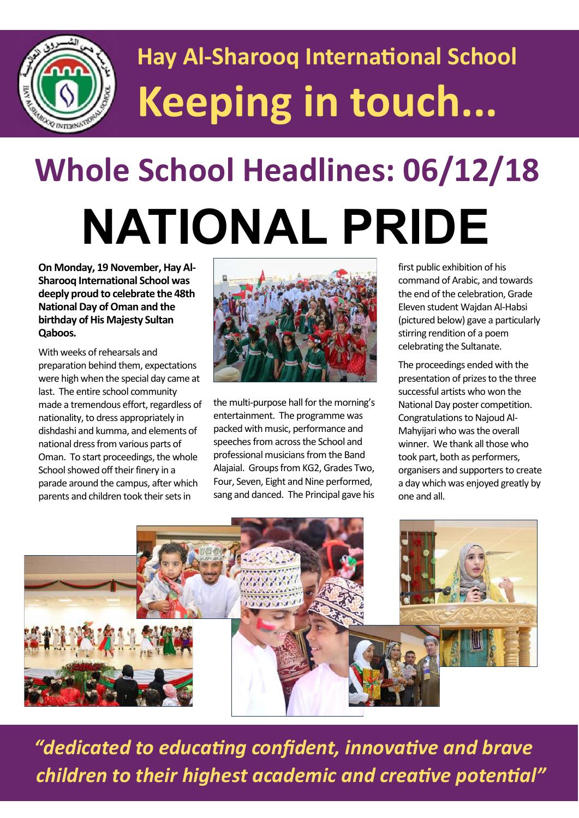

## **Hay Al-Sharooq International School Keeping in touch...**

# **Whole School Headlines: 06/12/18 NATIONAL PRIDE**

**On Monday, 19 November, Hay Al-Sharooq International School was deeply proud to celebrate the 48th National Day of Oman and the birthday of His Majesty Sultan Qaboos.** 

With weeks of rehearsals and preparation behind them, expectations were high when the special day came at last. The entire school community made a tremendous effort, regardless of nationality, to dress appropriately in dishdashi and kumma, and elements of national dress from various parts of Oman. To start proceedings, the whole School showed off their finery in a parade around the campus, after which parents and children took their sets in



the multi-purpose hall for the morning's entertainment. The programme was packed with music, performance and speeches from across the School and professional musicians from the Band Alajaial. Groups from KG2, Grades Two, Four, Seven, Eight and Nine performed, sang and danced. The Principal gave his

first public exhibition of his command of Arabic, and towards the end of the celebration, Grade Eleven student Wajdan Al-Habsi (pictured below) gave a particularly stirring rendition of a poem celebrating the Sultanate.

The proceedings ended with the presentation of prizes to the three successful artists who won the National Day poster competition. Congratulations to Najoud Al-Mahyijari who was the overall winner. We thank all those who took part, both as performers, organisers and supporters to create a day which was enjoyed greatly by one and all.



 *"dedicated to educating confident, innovative and brave children to their highest academic and creative potential"*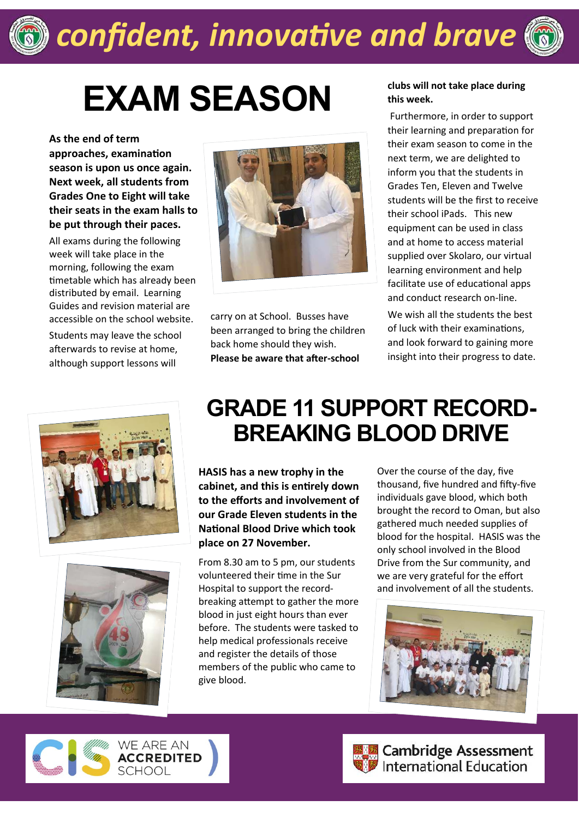

### *confident, innovative and brave*

# **EXAM SEASON clubs will not take place during**

**As the end of term approaches, examination season is upon us once again. Next week, all students from Grades One to Eight will take their seats in the exam halls to be put through their paces.**

All exams during the following week will take place in the morning, following the exam timetable which has already been distributed by email. Learning Guides and revision material are accessible on the school website.

Students may leave the school afterwards to revise at home, although support lessons will







carry on at School. Busses have been arranged to bring the children back home should they wish. **Please be aware that after-school** 

### **this week.**

 Furthermore, in order to support their learning and preparation for their exam season to come in the next term, we are delighted to inform you that the students in Grades Ten, Eleven and Twelve students will be the first to receive their school iPads. This new equipment can be used in class and at home to access material supplied over Skolaro, our virtual learning environment and help facilitate use of educational apps and conduct research on-line.

We wish all the students the best of luck with their examinations, and look forward to gaining more insight into their progress to date.

#### **GRADE 11 SUPPORT RECORD-BREAKING BLOOD DRIVE**

**HASIS has a new trophy in the cabinet, and this is entirely down to the efforts and involvement of our Grade Eleven students in the National Blood Drive which took place on 27 November.**

From 8.30 am to 5 pm, our students volunteered their time in the Sur Hospital to support the recordbreaking attempt to gather the more blood in just eight hours than ever before. The students were tasked to help medical professionals receive and register the details of those members of the public who came to give blood.

Over the course of the day, five thousand, five hundred and fifty-five individuals gave blood, which both brought the record to Oman, but also gathered much needed supplies of blood for the hospital. HASIS was the only school involved in the Blood Drive from the Sur community, and we are very grateful for the effort and involvement of all the students.







**Expedition**<br> **Expeditional Education**